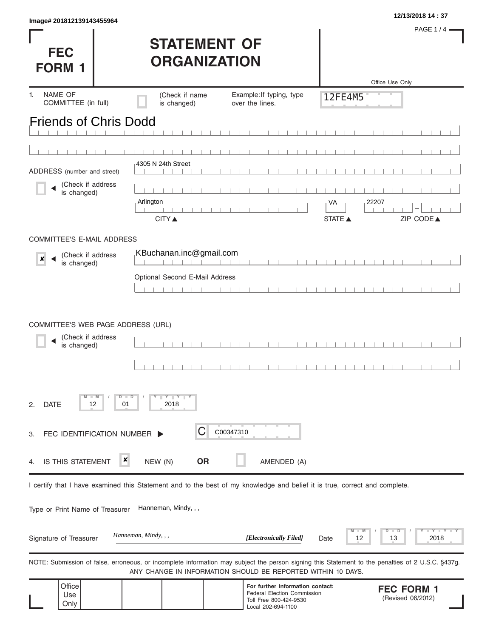| Image# 201812139143455964                                                                                                                         |                                |                                                                                                                        |                | 12/13/2018 14:37                          |
|---------------------------------------------------------------------------------------------------------------------------------------------------|--------------------------------|------------------------------------------------------------------------------------------------------------------------|----------------|-------------------------------------------|
| <b>FEC</b>                                                                                                                                        | <b>STATEMENT OF</b>            |                                                                                                                        |                | <b>PAGE 1/4</b>                           |
| <b>FORM 1</b>                                                                                                                                     | <b>ORGANIZATION</b>            |                                                                                                                        |                |                                           |
|                                                                                                                                                   |                                |                                                                                                                        |                | Office Use Only                           |
| NAME OF<br>1.<br>COMMITTEE (in full)                                                                                                              | (Check if name<br>is changed)  | Example: If typing, type<br>over the lines.                                                                            | 12FE4M5        |                                           |
| <b>Friends of Chris Dodd</b>                                                                                                                      |                                |                                                                                                                        |                |                                           |
|                                                                                                                                                   |                                |                                                                                                                        |                |                                           |
|                                                                                                                                                   |                                |                                                                                                                        |                |                                           |
| ADDRESS (number and street)                                                                                                                       | 4305 N 24th Street             |                                                                                                                        |                |                                           |
| (Check if address                                                                                                                                 |                                |                                                                                                                        |                |                                           |
| is changed)                                                                                                                                       | Arlington                      |                                                                                                                        |                | 22207                                     |
|                                                                                                                                                   |                                |                                                                                                                        | VA             |                                           |
|                                                                                                                                                   | <b>CITY</b> ▲                  |                                                                                                                        | <b>STATE</b> ▲ | ZIP CODE▲                                 |
| <b>COMMITTEE'S E-MAIL ADDRESS</b>                                                                                                                 |                                |                                                                                                                        |                |                                           |
| (Check if address<br>×                                                                                                                            | KBuchanan.inc@gmail.com        |                                                                                                                        |                |                                           |
| is changed)                                                                                                                                       |                                | $\Box$<br>$\mathbb{R}$                                                                                                 |                |                                           |
|                                                                                                                                                   | Optional Second E-Mail Address |                                                                                                                        |                |                                           |
|                                                                                                                                                   |                                |                                                                                                                        |                |                                           |
| COMMITTEE'S WEB PAGE ADDRESS (URL)                                                                                                                |                                |                                                                                                                        |                |                                           |
| (Check if address<br>is changed)                                                                                                                  |                                |                                                                                                                        |                |                                           |
|                                                                                                                                                   |                                |                                                                                                                        |                |                                           |
| $-W$<br><b>DATE</b><br>12<br>01<br>2.                                                                                                             | $D$ $D$<br>$Y$ $Y$ $Y$<br>2018 |                                                                                                                        |                |                                           |
| FEC IDENTIFICATION NUMBER ><br>3.                                                                                                                 | C                              | C00347310                                                                                                              |                |                                           |
| ×<br>IS THIS STATEMENT<br>4.                                                                                                                      | <b>OR</b><br>NEW (N)           | AMENDED (A)                                                                                                            |                |                                           |
| I certify that I have examined this Statement and to the best of my knowledge and belief it is true, correct and complete.                        |                                |                                                                                                                        |                |                                           |
|                                                                                                                                                   |                                |                                                                                                                        |                |                                           |
| Type or Print Name of Treasurer                                                                                                                   | Hanneman, Mindy, , ,           |                                                                                                                        |                |                                           |
| Signature of Treasurer                                                                                                                            | Hanneman, Mindy, , ,           | [Electronically Filed]                                                                                                 | 12<br>Date     | $-Y - Y - Y$<br>D<br>$\Box$<br>2018<br>13 |
| NOTE: Submission of false, erroneous, or incomplete information may subject the person signing this Statement to the penalties of 2 U.S.C. §437g. |                                | ANY CHANGE IN INFORMATION SHOULD BE REPORTED WITHIN 10 DAYS.                                                           |                |                                           |
| Office<br>Use<br>Only                                                                                                                             |                                | For further information contact:<br><b>Federal Election Commission</b><br>Toll Free 800-424-9530<br>Local 202-694-1100 |                | <b>FEC FORM 1</b><br>(Revised 06/2012)    |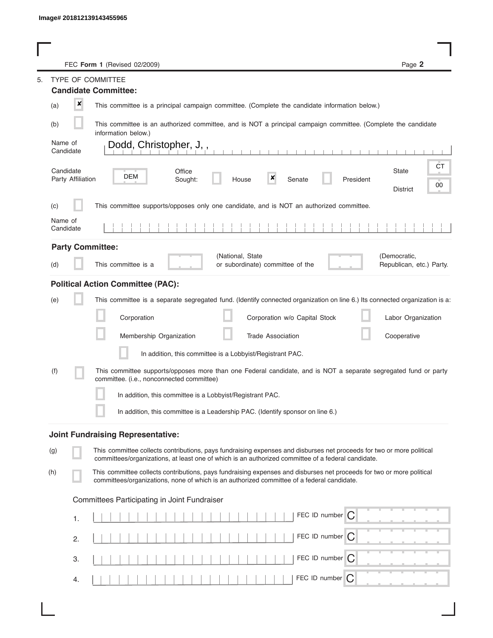L

|                                                           |                      |                   | FEC Form 1 (Revised 02/2009)                                                                                                                                                                                                | Page 2                                   |  |
|-----------------------------------------------------------|----------------------|-------------------|-----------------------------------------------------------------------------------------------------------------------------------------------------------------------------------------------------------------------------|------------------------------------------|--|
| 5.                                                        |                      |                   | TYPE OF COMMITTEE                                                                                                                                                                                                           |                                          |  |
|                                                           |                      |                   | <b>Candidate Committee:</b>                                                                                                                                                                                                 |                                          |  |
|                                                           | (a)                  | ×                 | This committee is a principal campaign committee. (Complete the candidate information below.)                                                                                                                               |                                          |  |
|                                                           | (b)                  |                   | This committee is an authorized committee, and is NOT a principal campaign committee. (Complete the candidate<br>information below.)                                                                                        |                                          |  |
|                                                           | Name of<br>Candidate |                   | Dodd, Christopher, J,,                                                                                                                                                                                                      |                                          |  |
|                                                           | Candidate            | Party Affiliation | Office<br>DEM<br>×<br>Sought:<br>House<br>Senate<br>President                                                                                                                                                               | CT<br><b>State</b><br>00<br>District     |  |
|                                                           | (C)                  |                   | This committee supports/opposes only one candidate, and is NOT an authorized committee.                                                                                                                                     |                                          |  |
|                                                           | Name of<br>Candidate |                   |                                                                                                                                                                                                                             |                                          |  |
|                                                           |                      |                   | <b>Party Committee:</b>                                                                                                                                                                                                     |                                          |  |
|                                                           | (d)                  |                   | (National, State<br>This committee is a<br>or subordinate) committee of the                                                                                                                                                 | (Democratic,<br>Republican, etc.) Party. |  |
|                                                           |                      |                   | <b>Political Action Committee (PAC):</b>                                                                                                                                                                                    |                                          |  |
|                                                           | (e)                  |                   | This committee is a separate segregated fund. (Identify connected organization on line 6.) Its connected organization is a:                                                                                                 |                                          |  |
|                                                           |                      |                   | Corporation<br>Corporation w/o Capital Stock                                                                                                                                                                                | Labor Organization                       |  |
|                                                           |                      |                   | Membership Organization<br><b>Trade Association</b>                                                                                                                                                                         | Cooperative                              |  |
|                                                           |                      |                   | In addition, this committee is a Lobbyist/Registrant PAC.                                                                                                                                                                   |                                          |  |
|                                                           | (f)                  |                   | This committee supports/opposes more than one Federal candidate, and is NOT a separate segregated fund or party<br>committee. (i.e., nonconnected committee)                                                                |                                          |  |
| In addition, this committee is a Lobbyist/Registrant PAC. |                      |                   |                                                                                                                                                                                                                             |                                          |  |
|                                                           |                      |                   | In addition, this committee is a Leadership PAC. (Identify sponsor on line 6.)                                                                                                                                              |                                          |  |
|                                                           |                      |                   | <b>Joint Fundraising Representative:</b>                                                                                                                                                                                    |                                          |  |
| (g)                                                       |                      |                   | This committee collects contributions, pays fundraising expenses and disburses net proceeds for two or more political<br>committees/organizations, at least one of which is an authorized committee of a federal candidate. |                                          |  |
| (h)                                                       |                      |                   | This committee collects contributions, pays fundraising expenses and disburses net proceeds for two or more political<br>committees/organizations, none of which is an authorized committee of a federal candidate.         |                                          |  |
|                                                           |                      |                   | Committees Participating in Joint Fundraiser                                                                                                                                                                                |                                          |  |
|                                                           |                      | 1.                | FEC ID number $\bigcap$                                                                                                                                                                                                     |                                          |  |
|                                                           |                      | 2.                | FEC ID number C                                                                                                                                                                                                             |                                          |  |
|                                                           |                      | 3.                | FEC ID number $\bigcap$                                                                                                                                                                                                     |                                          |  |
|                                                           |                      | 4.                | FEC ID number<br>C                                                                                                                                                                                                          |                                          |  |
|                                                           |                      |                   |                                                                                                                                                                                                                             |                                          |  |

 $\overline{\phantom{a}}$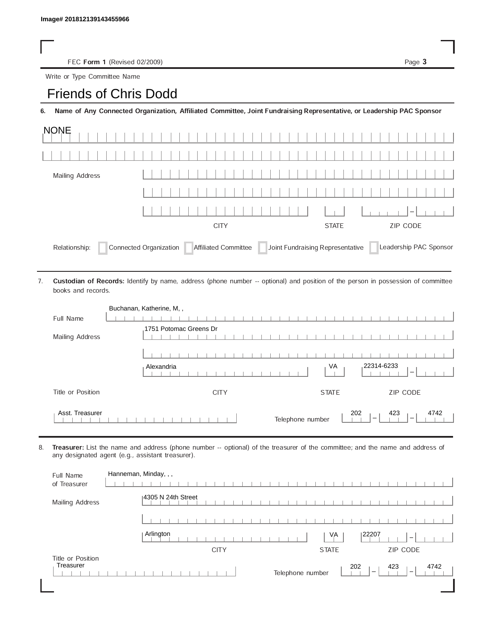FEC Form 1 (Revised 02/2009) Page 3

Write or Type Committee Name

## Image# 201812139143455966<br>
FEC Form 1 (Revised 02/2009)<br>
Write or Type Committee Name<br> **Friends of Chris Dodd**

6. Name of Any Connected Organization, Affiliated Committee, Joint Fundraising Representative, or Leadership PAC Sponsor

| <b>NONE</b>                                                                                                                 |             |              |                 |  |  |
|-----------------------------------------------------------------------------------------------------------------------------|-------------|--------------|-----------------|--|--|
|                                                                                                                             |             |              |                 |  |  |
| Mailing Address                                                                                                             |             |              |                 |  |  |
|                                                                                                                             |             |              |                 |  |  |
|                                                                                                                             |             |              | $1 - 1$         |  |  |
|                                                                                                                             | <b>CITY</b> | <b>STATE</b> | <b>ZIP CODE</b> |  |  |
| Connected Organization   Affiliated Committee   Joint Fundraising Representative<br>Leadership PAC Sponsor<br>Relationship: |             |              |                 |  |  |

Custodian of Records: Identify by name, address (phone number -- optional) and position of the person in possession of committee books and records. 7.

|                   | Buchanan, Katherine, M,,                                                                       |
|-------------------|------------------------------------------------------------------------------------------------|
| Full Name         |                                                                                                |
| Mailing Address   | 1751 Potomac Greens Dr                                                                         |
|                   |                                                                                                |
|                   | 22314-6233<br>VA<br>Alexandria<br>$\overline{\phantom{a}}$                                     |
| Title or Position | ZIP CODE<br><b>CITY</b><br><b>STATE</b>                                                        |
| Asst. Treasurer   | 202<br>423<br>4742<br>Telephone number<br>$\overline{\phantom{a}}$<br>$\overline{\phantom{a}}$ |

8. Treasurer: List the name and address (phone number -- optional) of the treasurer of the committee; and the name and address of any designated agent (e.g., assistant treasurer).

| Full Name<br>of Treasurer      | Hanneman, Minday, , ,                                                                          |
|--------------------------------|------------------------------------------------------------------------------------------------|
| Mailing Address                | 14305 N 24th Street                                                                            |
|                                |                                                                                                |
|                                | Arlington<br>22207<br>VA<br>$\hspace{0.5cm}$                                                   |
|                                | ZIP CODE<br><b>CITY</b><br><b>STATE</b>                                                        |
| Title or Position<br>Treasurer | 202<br>423<br>4742<br>Telephone number<br>$\overline{\phantom{m}}$<br>$\overline{\phantom{a}}$ |